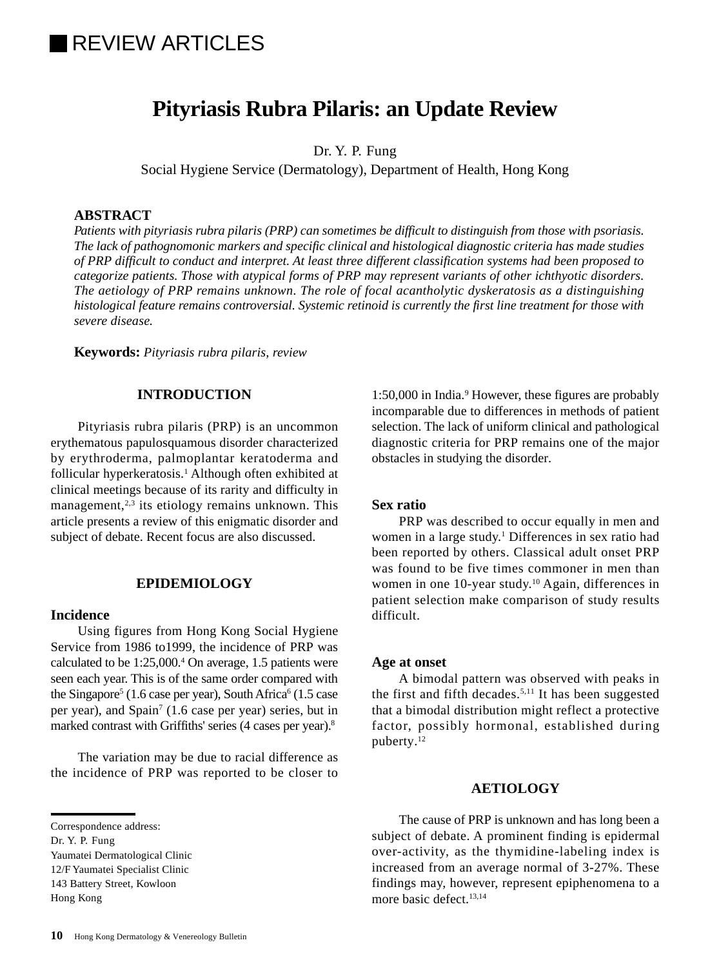# **IREVIEW ARTICLES**

## **Pityriasis Rubra Pilaris: an Update Review**

Dr. Y. P. Fung

Social Hygiene Service (Dermatology), Department of Health, Hong Kong

## **ABSTRACT**

*Patients with pityriasis rubra pilaris (PRP) can sometimes be difficult to distinguish from those with psoriasis. The lack of pathognomonic markers and specific clinical and histological diagnostic criteria has made studies of PRP difficult to conduct and interpret. At least three different classification systems had been proposed to categorize patients. Those with atypical forms of PRP may represent variants of other ichthyotic disorders. The aetiology of PRP remains unknown. The role of focal acantholytic dyskeratosis as a distinguishing histological feature remains controversial. Systemic retinoid is currently the first line treatment for those with severe disease.*

**Keywords:** *Pityriasis rubra pilaris, review*

## **INTRODUCTION**

Pityriasis rubra pilaris (PRP) is an uncommon erythematous papulosquamous disorder characterized by erythroderma, palmoplantar keratoderma and follicular hyperkeratosis.<sup>1</sup> Although often exhibited at clinical meetings because of its rarity and difficulty in management, $2,3$  its etiology remains unknown. This article presents a review of this enigmatic disorder and subject of debate. Recent focus are also discussed.

## **EPIDEMIOLOGY**

#### **Incidence**

Using figures from Hong Kong Social Hygiene Service from 1986 to1999, the incidence of PRP was calculated to be 1:25,000.4 On average, 1.5 patients were seen each year. This is of the same order compared with the Singapore<sup>5</sup> (1.6 case per year), South Africa<sup>6</sup> (1.5 case per year), and Spain<sup>7</sup> (1.6 case per year) series, but in marked contrast with Griffiths' series (4 cases per year).<sup>8</sup>

The variation may be due to racial difference as the incidence of PRP was reported to be closer to

Dr. Y. P. Fung

Yaumatei Dermatological Clinic

12/F Yaumatei Specialist Clinic

143 Battery Street, Kowloon

Hong Kong

1:50,000 in India.<sup>9</sup> However, these figures are probably incomparable due to differences in methods of patient selection. The lack of uniform clinical and pathological diagnostic criteria for PRP remains one of the major obstacles in studying the disorder.

#### **Sex ratio**

PRP was described to occur equally in men and women in a large study.<sup>1</sup> Differences in sex ratio had been reported by others. Classical adult onset PRP was found to be five times commoner in men than women in one 10-year study.<sup>10</sup> Again, differences in patient selection make comparison of study results difficult.

#### **Age at onset**

A bimodal pattern was observed with peaks in the first and fifth decades.<sup>5,11</sup> It has been suggested that a bimodal distribution might reflect a protective factor, possibly hormonal, established during puberty.12

### **AETIOLOGY**

The cause of PRP is unknown and has long been a subject of debate. A prominent finding is epidermal over-activity, as the thymidine-labeling index is increased from an average normal of 3-27%. These findings may, however, represent epiphenomena to a more basic defect.<sup>13,14</sup>

Correspondence address: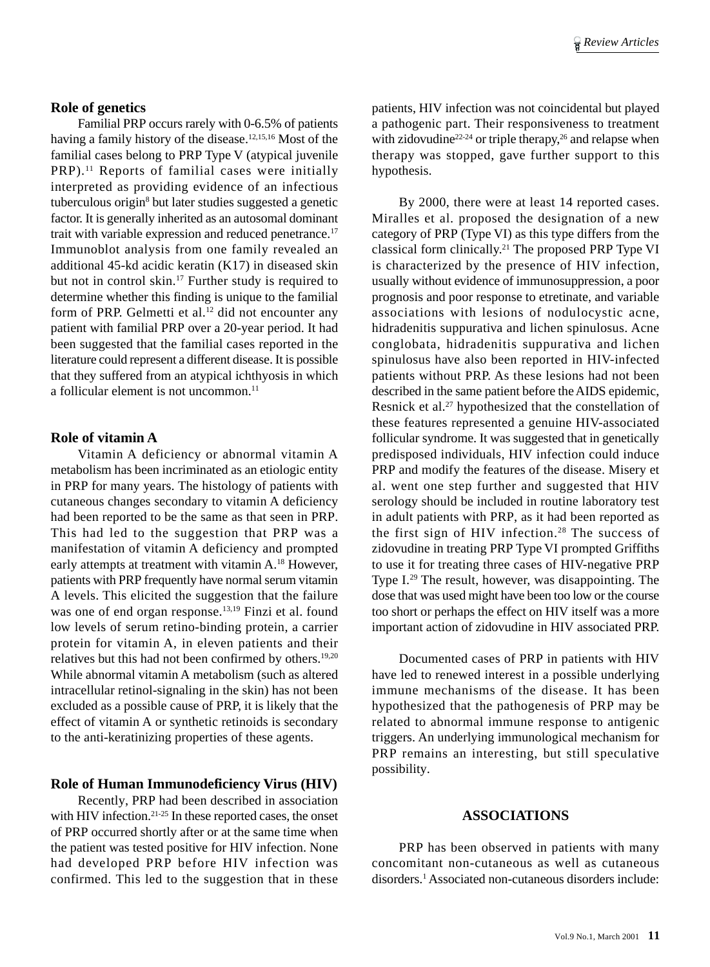## **Role of genetics**

Familial PRP occurs rarely with 0-6.5% of patients having a family history of the disease.<sup>12,15,16</sup> Most of the familial cases belong to PRP Type V (atypical juvenile PRP).<sup>11</sup> Reports of familial cases were initially interpreted as providing evidence of an infectious tuberculous origin<sup>8</sup> but later studies suggested a genetic factor. It is generally inherited as an autosomal dominant trait with variable expression and reduced penetrance.<sup>17</sup> Immunoblot analysis from one family revealed an additional 45-kd acidic keratin (K17) in diseased skin but not in control skin.<sup>17</sup> Further study is required to determine whether this finding is unique to the familial form of PRP. Gelmetti et al.<sup>12</sup> did not encounter any patient with familial PRP over a 20-year period. It had been suggested that the familial cases reported in the literature could represent a different disease. It is possible that they suffered from an atypical ichthyosis in which a follicular element is not uncommon.<sup>11</sup>

#### **Role of vitamin A**

Vitamin A deficiency or abnormal vitamin A metabolism has been incriminated as an etiologic entity in PRP for many years. The histology of patients with cutaneous changes secondary to vitamin A deficiency had been reported to be the same as that seen in PRP. This had led to the suggestion that PRP was a manifestation of vitamin A deficiency and prompted early attempts at treatment with vitamin A.<sup>18</sup> However, patients with PRP frequently have normal serum vitamin A levels. This elicited the suggestion that the failure was one of end organ response.<sup>13,19</sup> Finzi et al. found low levels of serum retino-binding protein, a carrier protein for vitamin A, in eleven patients and their relatives but this had not been confirmed by others.19,20 While abnormal vitamin A metabolism (such as altered intracellular retinol-signaling in the skin) has not been excluded as a possible cause of PRP, it is likely that the effect of vitamin A or synthetic retinoids is secondary to the anti-keratinizing properties of these agents.

## **Role of Human Immunodeficiency Virus (HIV)**

Recently, PRP had been described in association with HIV infection.<sup>21-25</sup> In these reported cases, the onset of PRP occurred shortly after or at the same time when the patient was tested positive for HIV infection. None had developed PRP before HIV infection was confirmed. This led to the suggestion that in these patients, HIV infection was not coincidental but played a pathogenic part. Their responsiveness to treatment with zidovudine<sup>22-24</sup> or triple therapy,<sup>26</sup> and relapse when therapy was stopped, gave further support to this hypothesis.

By 2000, there were at least 14 reported cases. Miralles et al. proposed the designation of a new category of PRP (Type VI) as this type differs from the classical form clinically.21 The proposed PRP Type VI is characterized by the presence of HIV infection, usually without evidence of immunosuppression, a poor prognosis and poor response to etretinate, and variable associations with lesions of nodulocystic acne, hidradenitis suppurativa and lichen spinulosus. Acne conglobata, hidradenitis suppurativa and lichen spinulosus have also been reported in HIV-infected patients without PRP. As these lesions had not been described in the same patient before the AIDS epidemic, Resnick et al.<sup>27</sup> hypothesized that the constellation of these features represented a genuine HIV-associated follicular syndrome. It was suggested that in genetically predisposed individuals, HIV infection could induce PRP and modify the features of the disease. Misery et al. went one step further and suggested that HIV serology should be included in routine laboratory test in adult patients with PRP, as it had been reported as the first sign of HIV infection. $28$  The success of zidovudine in treating PRP Type VI prompted Griffiths to use it for treating three cases of HIV-negative PRP Type I.29 The result, however, was disappointing. The dose that was used might have been too low or the course too short or perhaps the effect on HIV itself was a more important action of zidovudine in HIV associated PRP.

Documented cases of PRP in patients with HIV have led to renewed interest in a possible underlying immune mechanisms of the disease. It has been hypothesized that the pathogenesis of PRP may be related to abnormal immune response to antigenic triggers. An underlying immunological mechanism for PRP remains an interesting, but still speculative possibility.

#### **ASSOCIATIONS**

PRP has been observed in patients with many concomitant non-cutaneous as well as cutaneous disorders.1 Associated non-cutaneous disorders include: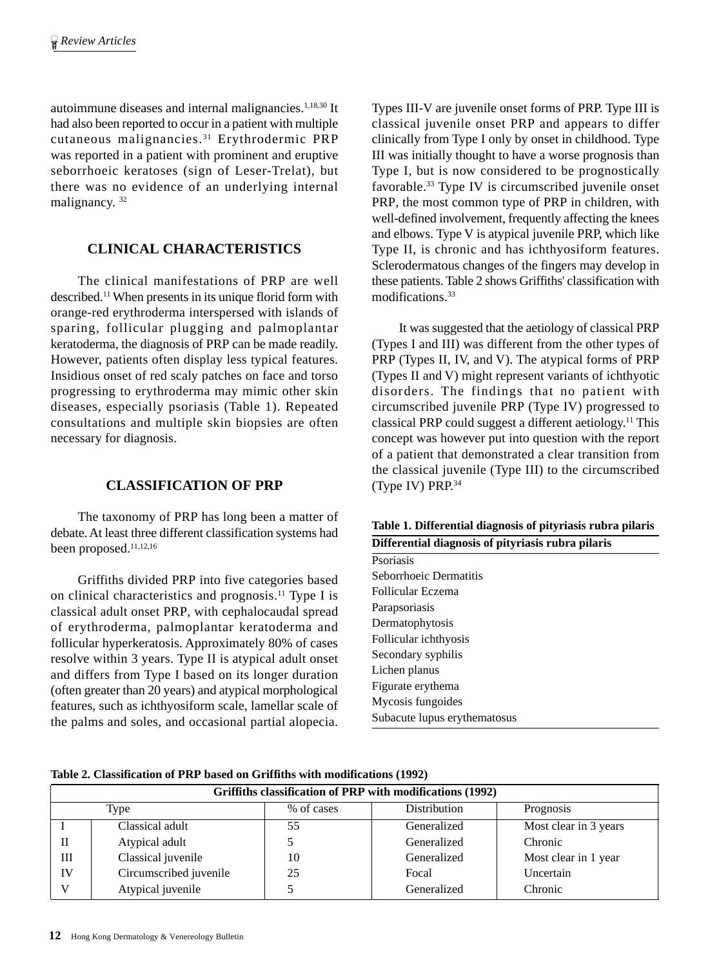autoimmune diseases and internal malignancies.<sup>1,18,30</sup> It had also been reported to occur in a patient with multiple cutaneous malignancies.31 Erythrodermic PRP was reported in a patient with prominent and eruptive seborrhoeic keratoses (sign of Leser-Trelat), but there was no evidence of an underlying internal malignancy.<sup>32</sup>

## **CLINICAL CHARACTERISTICS**

The clinical manifestations of PRP are well described.11 When presents in its unique florid form with orange-red erythroderma interspersed with islands of sparing, follicular plugging and palmoplantar keratoderma, the diagnosis of PRP can be made readily. However, patients often display less typical features. Insidious onset of red scaly patches on face and torso progressing to erythroderma may mimic other skin diseases, especially psoriasis (Table 1). Repeated consultations and multiple skin biopsies are often necessary for diagnosis.

## **CLASSIFICATION OF PRP**

The taxonomy of PRP has long been a matter of debate. At least three different classification systems had been proposed.<sup>11,12,16</sup>

Griffiths divided PRP into five categories based on clinical characteristics and prognosis.11 Type I is classical adult onset PRP, with cephalocaudal spread of erythroderma, palmoplantar keratoderma and follicular hyperkeratosis. Approximately 80% of cases resolve within 3 years. Type II is atypical adult onset and differs from Type I based on its longer duration (often greater than 20 years) and atypical morphological features, such as ichthyosiform scale, lamellar scale of the palms and soles, and occasional partial alopecia.

Types III-V are juvenile onset forms of PRP. Type III is classical juvenile onset PRP and appears to differ clinically from Type I only by onset in childhood. Type III was initially thought to have a worse prognosis than Type I, but is now considered to be prognostically favorable.33 Type IV is circumscribed juvenile onset PRP, the most common type of PRP in children, with well-defined involvement, frequently affecting the knees and elbows. Type V is atypical juvenile PRP, which like Type II, is chronic and has ichthyosiform features. Sclerodermatous changes of the fingers may develop in these patients. Table 2 shows Griffiths' classification with modifications.33

It was suggested that the aetiology of classical PRP (Types I and III) was different from the other types of PRP (Types II, IV, and V). The atypical forms of PRP (Types II and V) might represent variants of ichthyotic disorders. The findings that no patient with circumscribed juvenile PRP (Type IV) progressed to classical PRP could suggest a different aetiology.11 This concept was however put into question with the report of a patient that demonstrated a clear transition from the classical juvenile (Type III) to the circumscribed (Type IV) PRP.34

**Table 1. Differential diagnosis of pityriasis rubra pilaris**

| Differential diagnosis of pityriasis rubra pilaris |  |  |  |
|----------------------------------------------------|--|--|--|
|                                                    |  |  |  |
|                                                    |  |  |  |
|                                                    |  |  |  |
|                                                    |  |  |  |
|                                                    |  |  |  |
|                                                    |  |  |  |
|                                                    |  |  |  |
|                                                    |  |  |  |
|                                                    |  |  |  |
|                                                    |  |  |  |
|                                                    |  |  |  |
|                                                    |  |  |  |

**Table 2. Classification of PRP based on Griffiths with modifications (1992)**

| Griffiths classification of PRP with modifications (1992) |                        |            |              |                       |  |  |
|-----------------------------------------------------------|------------------------|------------|--------------|-----------------------|--|--|
|                                                           | Type                   | % of cases | Distribution | Prognosis             |  |  |
|                                                           | Classical adult        | 55         | Generalized  | Most clear in 3 years |  |  |
|                                                           | Atypical adult         |            | Generalized  | Chronic               |  |  |
| Ш                                                         | Classical juvenile     | 10         | Generalized  | Most clear in 1 year  |  |  |
| IV                                                        | Circumscribed juvenile | 25         | Focal        | Uncertain             |  |  |
|                                                           | Atypical juvenile      |            | Generalized  | Chronic               |  |  |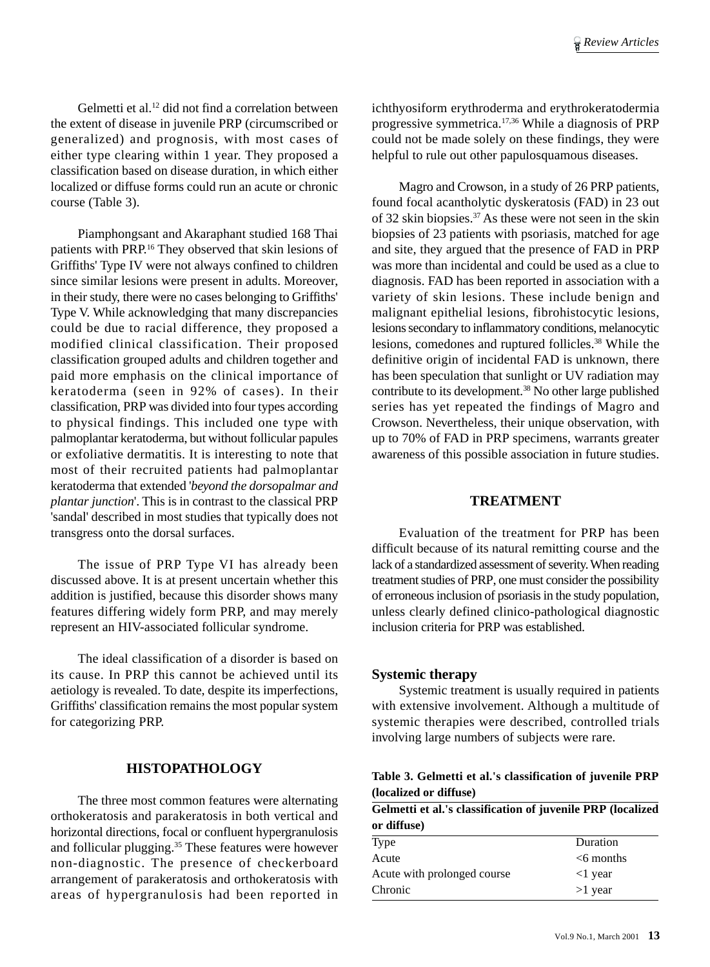Gelmetti et al.<sup>12</sup> did not find a correlation between the extent of disease in juvenile PRP (circumscribed or generalized) and prognosis, with most cases of either type clearing within 1 year. They proposed a classification based on disease duration, in which either localized or diffuse forms could run an acute or chronic course (Table 3).

Piamphongsant and Akaraphant studied 168 Thai patients with PRP.16 They observed that skin lesions of Griffiths' Type IV were not always confined to children since similar lesions were present in adults. Moreover, in their study, there were no cases belonging to Griffiths' Type V. While acknowledging that many discrepancies could be due to racial difference, they proposed a modified clinical classification. Their proposed classification grouped adults and children together and paid more emphasis on the clinical importance of keratoderma (seen in 92% of cases). In their classification, PRP was divided into four types according to physical findings. This included one type with palmoplantar keratoderma, but without follicular papules or exfoliative dermatitis. It is interesting to note that most of their recruited patients had palmoplantar keratoderma that extended '*beyond the dorsopalmar and plantar junction*'. This is in contrast to the classical PRP 'sandal' described in most studies that typically does not transgress onto the dorsal surfaces.

The issue of PRP Type VI has already been discussed above. It is at present uncertain whether this addition is justified, because this disorder shows many features differing widely form PRP, and may merely represent an HIV-associated follicular syndrome.

The ideal classification of a disorder is based on its cause. In PRP this cannot be achieved until its aetiology is revealed. To date, despite its imperfections, Griffiths' classification remains the most popular system for categorizing PRP.

## **HISTOPATHOLOGY**

The three most common features were alternating orthokeratosis and parakeratosis in both vertical and horizontal directions, focal or confluent hypergranulosis and follicular plugging.35 These features were however non-diagnostic. The presence of checkerboard arrangement of parakeratosis and orthokeratosis with areas of hypergranulosis had been reported in

ichthyosiform erythroderma and erythrokeratodermia progressive symmetrica.17,36 While a diagnosis of PRP could not be made solely on these findings, they were helpful to rule out other papulosquamous diseases.

Magro and Crowson, in a study of 26 PRP patients, found focal acantholytic dyskeratosis (FAD) in 23 out of 32 skin biopsies.37 As these were not seen in the skin biopsies of 23 patients with psoriasis, matched for age and site, they argued that the presence of FAD in PRP was more than incidental and could be used as a clue to diagnosis. FAD has been reported in association with a variety of skin lesions. These include benign and malignant epithelial lesions, fibrohistocytic lesions, lesions secondary to inflammatory conditions, melanocytic lesions, comedones and ruptured follicles.38 While the definitive origin of incidental FAD is unknown, there has been speculation that sunlight or UV radiation may contribute to its development.38 No other large published series has yet repeated the findings of Magro and Crowson. Nevertheless, their unique observation, with up to 70% of FAD in PRP specimens, warrants greater awareness of this possible association in future studies.

## **TREATMENT**

Evaluation of the treatment for PRP has been difficult because of its natural remitting course and the lack of a standardized assessment of severity. When reading treatment studies of PRP, one must consider the possibility of erroneous inclusion of psoriasis in the study population, unless clearly defined clinico-pathological diagnostic inclusion criteria for PRP was established.

## **Systemic therapy**

Systemic treatment is usually required in patients with extensive involvement. Although a multitude of systemic therapies were described, controlled trials involving large numbers of subjects were rare.

**Table 3. Gelmetti et al.'s classification of juvenile PRP (localized or diffuse)**

|             | Gelmetti et al.'s classification of juvenile PRP (localized |  |
|-------------|-------------------------------------------------------------|--|
| or diffuse) |                                                             |  |
|             |                                                             |  |

| <b>Type</b>                 | Duration         |
|-----------------------------|------------------|
| Acute                       | $<$ 6 months     |
| Acute with prolonged course | $\langle$ 1 year |
| Chronic                     | $>1$ year        |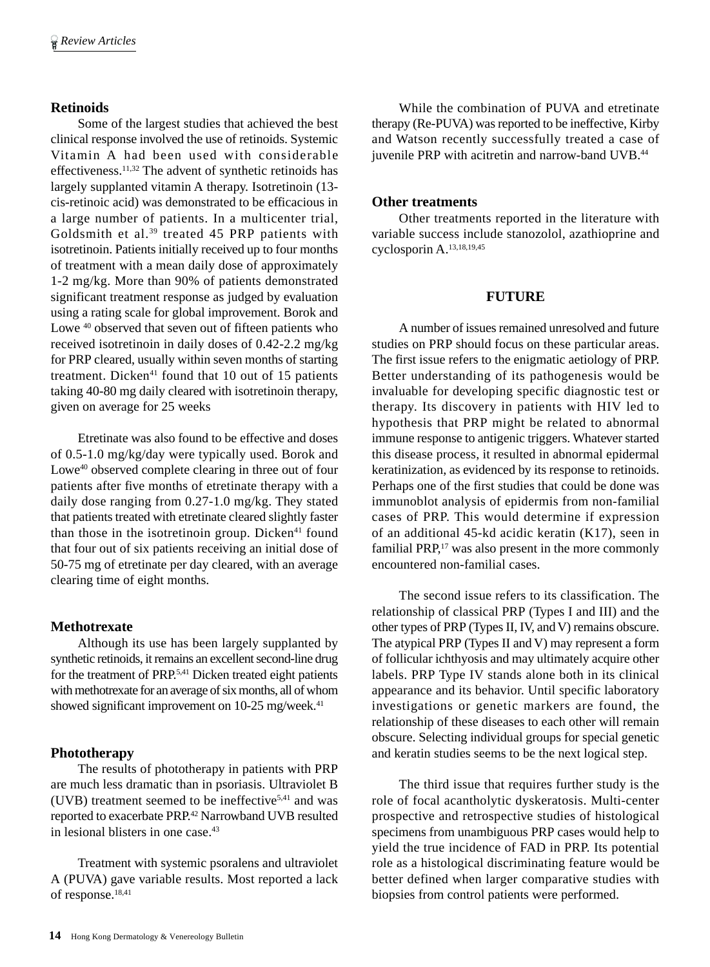## **Retinoids**

Some of the largest studies that achieved the best clinical response involved the use of retinoids. Systemic Vitamin A had been used with considerable effectiveness.11,32 The advent of synthetic retinoids has largely supplanted vitamin A therapy. Isotretinoin (13 cis-retinoic acid) was demonstrated to be efficacious in a large number of patients. In a multicenter trial, Goldsmith et al.<sup>39</sup> treated 45 PRP patients with isotretinoin. Patients initially received up to four months of treatment with a mean daily dose of approximately 1-2 mg/kg. More than 90% of patients demonstrated significant treatment response as judged by evaluation using a rating scale for global improvement. Borok and Lowe  $40$  observed that seven out of fifteen patients who received isotretinoin in daily doses of 0.42-2.2 mg/kg for PRP cleared, usually within seven months of starting treatment. Dicken $41$  found that 10 out of 15 patients taking 40-80 mg daily cleared with isotretinoin therapy, given on average for 25 weeks

Etretinate was also found to be effective and doses of 0.5-1.0 mg/kg/day were typically used. Borok and Lowe<sup>40</sup> observed complete clearing in three out of four patients after five months of etretinate therapy with a daily dose ranging from 0.27-1.0 mg/kg. They stated that patients treated with etretinate cleared slightly faster than those in the isotretinoin group. Dicken $41$  found that four out of six patients receiving an initial dose of 50-75 mg of etretinate per day cleared, with an average clearing time of eight months.

#### **Methotrexate**

Although its use has been largely supplanted by synthetic retinoids, it remains an excellent second-line drug for the treatment of PRP.5,41 Dicken treated eight patients with methotrexate for an average of six months, all of whom showed significant improvement on 10-25 mg/week.<sup>41</sup>

## **Phototherapy**

The results of phototherapy in patients with PRP are much less dramatic than in psoriasis. Ultraviolet B (UVB) treatment seemed to be ineffective<sup>5,41</sup> and was reported to exacerbate PRP.42 Narrowband UVB resulted in lesional blisters in one case.<sup>43</sup>

Treatment with systemic psoralens and ultraviolet A (PUVA) gave variable results. Most reported a lack of response.18,41

While the combination of PUVA and etretinate therapy (Re-PUVA) was reported to be ineffective, Kirby and Watson recently successfully treated a case of juvenile PRP with acitretin and narrow-band UVB.<sup>44</sup>

#### **Other treatments**

Other treatments reported in the literature with variable success include stanozolol, azathioprine and cyclosporin A.13,18,19,45

### **FUTURE**

A number of issues remained unresolved and future studies on PRP should focus on these particular areas. The first issue refers to the enigmatic aetiology of PRP. Better understanding of its pathogenesis would be invaluable for developing specific diagnostic test or therapy. Its discovery in patients with HIV led to hypothesis that PRP might be related to abnormal immune response to antigenic triggers. Whatever started this disease process, it resulted in abnormal epidermal keratinization, as evidenced by its response to retinoids. Perhaps one of the first studies that could be done was immunoblot analysis of epidermis from non-familial cases of PRP. This would determine if expression of an additional 45-kd acidic keratin (K17), seen in familial PRP,<sup>17</sup> was also present in the more commonly encountered non-familial cases.

The second issue refers to its classification. The relationship of classical PRP (Types I and III) and the other types of PRP (Types II, IV, and V) remains obscure. The atypical PRP (Types II and V) may represent a form of follicular ichthyosis and may ultimately acquire other labels. PRP Type IV stands alone both in its clinical appearance and its behavior. Until specific laboratory investigations or genetic markers are found, the relationship of these diseases to each other will remain obscure. Selecting individual groups for special genetic and keratin studies seems to be the next logical step.

The third issue that requires further study is the role of focal acantholytic dyskeratosis. Multi-center prospective and retrospective studies of histological specimens from unambiguous PRP cases would help to yield the true incidence of FAD in PRP. Its potential role as a histological discriminating feature would be better defined when larger comparative studies with biopsies from control patients were performed.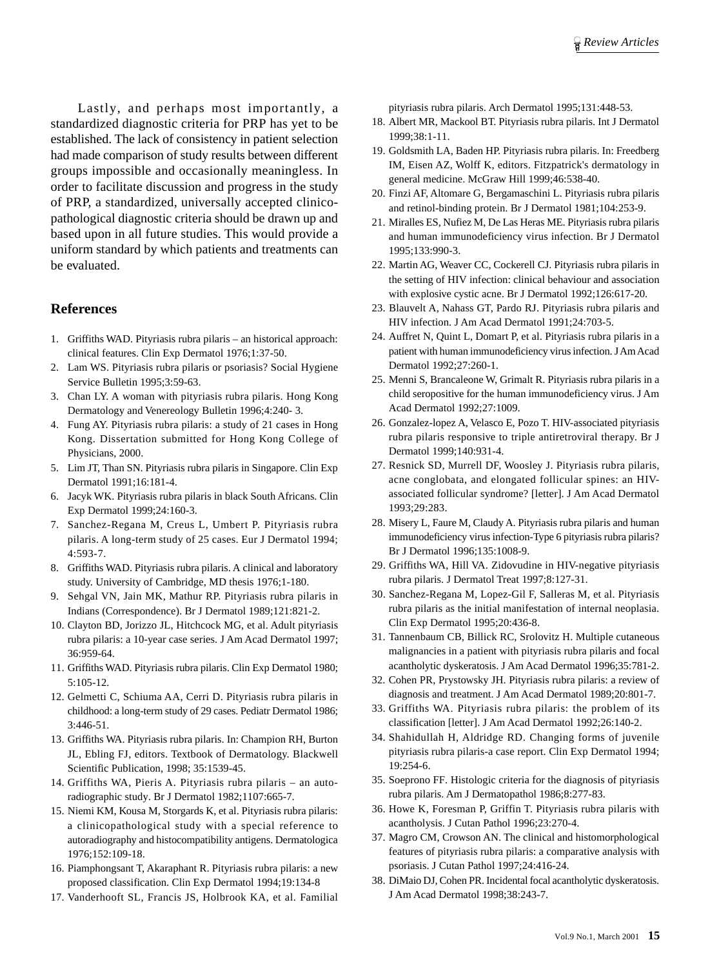Lastly, and perhaps most importantly, a standardized diagnostic criteria for PRP has yet to be established. The lack of consistency in patient selection had made comparison of study results between different groups impossible and occasionally meaningless. In order to facilitate discussion and progress in the study of PRP, a standardized, universally accepted clinicopathological diagnostic criteria should be drawn up and based upon in all future studies. This would provide a uniform standard by which patients and treatments can be evaluated.

#### **References**

- 1. Griffiths WAD. Pityriasis rubra pilaris an historical approach: clinical features. Clin Exp Dermatol 1976;1:37-50.
- 2. Lam WS. Pityriasis rubra pilaris or psoriasis? Social Hygiene Service Bulletin 1995;3:59-63.
- 3. Chan LY. A woman with pityriasis rubra pilaris. Hong Kong Dermatology and Venereology Bulletin 1996;4:240- 3.
- 4. Fung AY. Pityriasis rubra pilaris: a study of 21 cases in Hong Kong. Dissertation submitted for Hong Kong College of Physicians, 2000.
- 5. Lim JT, Than SN. Pityriasis rubra pilaris in Singapore. Clin Exp Dermatol 1991;16:181-4.
- 6. Jacyk WK. Pityriasis rubra pilaris in black South Africans. Clin Exp Dermatol 1999;24:160-3.
- 7. Sanchez-Regana M, Creus L, Umbert P. Pityriasis rubra pilaris. A long-term study of 25 cases. Eur J Dermatol 1994; 4:593-7.
- 8. Griffiths WAD. Pityriasis rubra pilaris. A clinical and laboratory study. University of Cambridge, MD thesis 1976;1-180.
- 9. Sehgal VN, Jain MK, Mathur RP. Pityriasis rubra pilaris in Indians (Correspondence). Br J Dermatol 1989;121:821-2.
- 10. Clayton BD, Jorizzo JL, Hitchcock MG, et al. Adult pityriasis rubra pilaris: a 10-year case series. J Am Acad Dermatol 1997; 36:959-64.
- 11. Griffiths WAD. Pityriasis rubra pilaris. Clin Exp Dermatol 1980; 5:105-12.
- 12. Gelmetti C, Schiuma AA, Cerri D. Pityriasis rubra pilaris in childhood: a long-term study of 29 cases. Pediatr Dermatol 1986; 3:446-51.
- 13. Griffiths WA. Pityriasis rubra pilaris. In: Champion RH, Burton JL, Ebling FJ, editors. Textbook of Dermatology. Blackwell Scientific Publication, 1998; 35:1539-45.
- 14. Griffiths WA, Pieris A. Pityriasis rubra pilaris an autoradiographic study. Br J Dermatol 1982;1107:665-7.
- 15. Niemi KM, Kousa M, Storgards K, et al. Pityriasis rubra pilaris: a clinicopathological study with a special reference to autoradiography and histocompatibility antigens. Dermatologica 1976;152:109-18.
- 16. Piamphongsant T, Akaraphant R. Pityriasis rubra pilaris: a new proposed classification. Clin Exp Dermatol 1994;19:134-8
- 17. Vanderhooft SL, Francis JS, Holbrook KA, et al. Familial

pityriasis rubra pilaris. Arch Dermatol 1995;131:448-53.

- 18. Albert MR, Mackool BT. Pityriasis rubra pilaris. Int J Dermatol 1999;38:1-11.
- 19. Goldsmith LA, Baden HP. Pityriasis rubra pilaris. In: Freedberg IM, Eisen AZ, Wolff K, editors. Fitzpatrick's dermatology in general medicine. McGraw Hill 1999;46:538-40.
- 20. Finzi AF, Altomare G, Bergamaschini L. Pityriasis rubra pilaris and retinol-binding protein. Br J Dermatol 1981;104:253-9.
- 21. Miralles ES, Nufiez M, De Las Heras ME. Pityriasis rubra pilaris and human immunodeficiency virus infection. Br J Dermatol 1995;133:990-3.
- 22. Martin AG, Weaver CC, Cockerell CJ. Pityriasis rubra pilaris in the setting of HIV infection: clinical behaviour and association with explosive cystic acne. Br J Dermatol 1992;126:617-20.
- 23. Blauvelt A, Nahass GT, Pardo RJ. Pityriasis rubra pilaris and HIV infection. J Am Acad Dermatol 1991;24:703-5.
- 24. Auffret N, Quint L, Domart P, et al. Pityriasis rubra pilaris in a patient with human immunodeficiency virus infection. J Am Acad Dermatol 1992;27:260-1.
- 25. Menni S, Brancaleone W, Grimalt R. Pityriasis rubra pilaris in a child seropositive for the human immunodeficiency virus. J Am Acad Dermatol 1992;27:1009.
- 26. Gonzalez-lopez A, Velasco E, Pozo T. HIV-associated pityriasis rubra pilaris responsive to triple antiretroviral therapy. Br J Dermatol 1999;140:931-4.
- 27. Resnick SD, Murrell DF, Woosley J. Pityriasis rubra pilaris, acne conglobata, and elongated follicular spines: an HIVassociated follicular syndrome? [letter]. J Am Acad Dermatol 1993;29:283.
- 28. Misery L, Faure M, Claudy A. Pityriasis rubra pilaris and human immunodeficiency virus infection-Type 6 pityriasis rubra pilaris? Br J Dermatol 1996;135:1008-9.
- 29. Griffiths WA, Hill VA. Zidovudine in HIV-negative pityriasis rubra pilaris. J Dermatol Treat 1997;8:127-31.
- 30. Sanchez-Regana M, Lopez-Gil F, Salleras M, et al. Pityriasis rubra pilaris as the initial manifestation of internal neoplasia. Clin Exp Dermatol 1995;20:436-8.
- 31. Tannenbaum CB, Billick RC, Srolovitz H. Multiple cutaneous malignancies in a patient with pityriasis rubra pilaris and focal acantholytic dyskeratosis. J Am Acad Dermatol 1996;35:781-2.
- 32. Cohen PR, Prystowsky JH. Pityriasis rubra pilaris: a review of diagnosis and treatment. J Am Acad Dermatol 1989;20:801-7.
- 33. Griffiths WA. Pityriasis rubra pilaris: the problem of its classification [letter]. J Am Acad Dermatol 1992;26:140-2.
- 34. Shahidullah H, Aldridge RD. Changing forms of juvenile pityriasis rubra pilaris-a case report. Clin Exp Dermatol 1994; 19:254-6.
- 35. Soeprono FF. Histologic criteria for the diagnosis of pityriasis rubra pilaris. Am J Dermatopathol 1986;8:277-83.
- 36. Howe K, Foresman P, Griffin T. Pityriasis rubra pilaris with acantholysis. J Cutan Pathol 1996;23:270-4.
- 37. Magro CM, Crowson AN. The clinical and histomorphological features of pityriasis rubra pilaris: a comparative analysis with psoriasis. J Cutan Pathol 1997;24:416-24.
- 38. DiMaio DJ, Cohen PR. Incidental focal acantholytic dyskeratosis. J Am Acad Dermatol 1998;38:243-7.